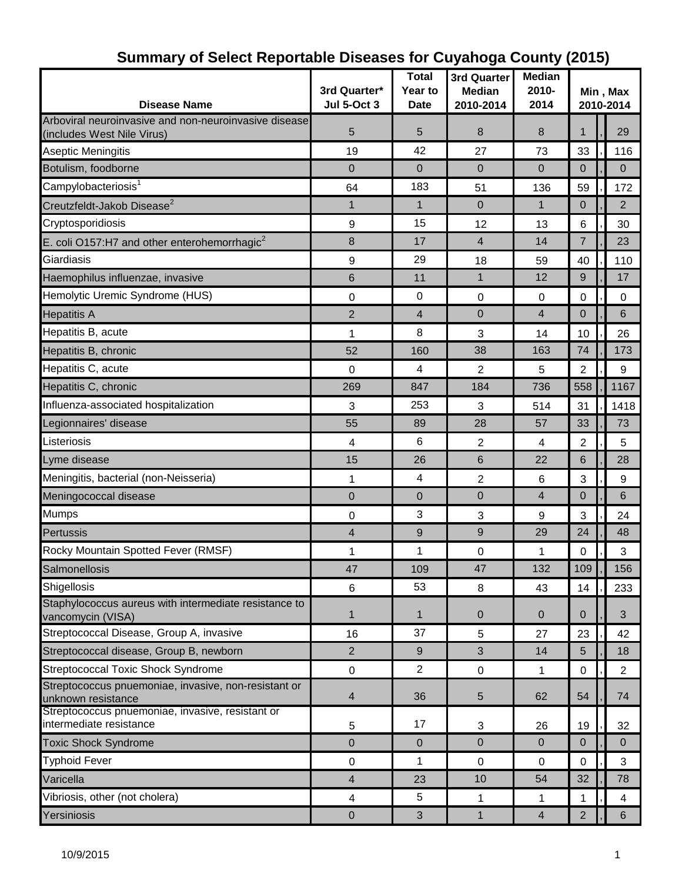| <b>Disease Name</b>                                                                 | 3rd Quarter*<br><b>Jul 5-Oct 3</b> | <b>Total</b><br>Year to<br><b>Date</b> | 3rd Quarter<br><b>Median</b><br>2010-2014 | <b>Median</b><br>$2010 -$<br>2014 | Min, Max<br>2010-2014 |  |                  |  |
|-------------------------------------------------------------------------------------|------------------------------------|----------------------------------------|-------------------------------------------|-----------------------------------|-----------------------|--|------------------|--|
| Arboviral neuroinvasive and non-neuroinvasive disease<br>(includes West Nile Virus) | 5                                  | 5                                      | 8                                         | $\boldsymbol{8}$                  | $\mathbf{1}$          |  | 29               |  |
| Aseptic Meningitis                                                                  | 19                                 | 42                                     | 27                                        | 73                                | 33                    |  | 116              |  |
| Botulism, foodborne                                                                 | 0                                  | $\mathbf 0$                            | $\pmb{0}$                                 | $\mathbf 0$                       | $\mathbf 0$           |  | $\mathbf 0$      |  |
| Campylobacteriosis <sup>1</sup>                                                     | 64                                 | 183                                    | 51                                        | 136                               | 59                    |  | 172              |  |
| Creutzfeldt-Jakob Disease <sup>2</sup>                                              | $\mathbf{1}$                       | $\mathbf{1}$                           | $\mathbf 0$                               | $\mathbf{1}$                      | $\mathbf 0$           |  | $\overline{2}$   |  |
| Cryptosporidiosis                                                                   | 9                                  | 15                                     | 12                                        | 13                                | 6                     |  | 30               |  |
| E. coli O157:H7 and other enterohemorrhagic $2$                                     | 8                                  | 17                                     | $\overline{4}$                            | 14                                | 7                     |  | 23               |  |
| Giardiasis                                                                          | 9                                  | 29                                     | 18                                        | 59                                | 40                    |  | 110              |  |
| Haemophilus influenzae, invasive                                                    | 6                                  | 11                                     | $\mathbf{1}$                              | 12                                | $9$                   |  | 17               |  |
| Hemolytic Uremic Syndrome (HUS)                                                     | 0                                  | $\mathbf 0$                            | $\boldsymbol{0}$                          | $\mathbf 0$                       | $\mathbf 0$           |  | $\mathbf 0$      |  |
| <b>Hepatitis A</b>                                                                  | $\overline{2}$                     | 4                                      | $\mathbf 0$                               | 4                                 | $\overline{0}$        |  | 6                |  |
| Hepatitis B, acute                                                                  | 1                                  | 8                                      | 3                                         | 14                                | 10                    |  | 26               |  |
| Hepatitis B, chronic                                                                | 52                                 | 160                                    | 38                                        | 163                               | 74                    |  | 173              |  |
| Hepatitis C, acute                                                                  | $\mathbf 0$                        | 4                                      | 2                                         | 5                                 | $\overline{c}$        |  | 9                |  |
| Hepatitis C, chronic                                                                | 269                                | 847                                    | 184                                       | 736                               | 558                   |  | 1167             |  |
| Influenza-associated hospitalization                                                | 3                                  | 253                                    | 3                                         | 514                               | 31                    |  | 1418             |  |
| Legionnaires' disease                                                               | 55                                 | 89                                     | 28                                        | 57                                | 33                    |  | 73               |  |
| Listeriosis                                                                         | 4                                  | 6                                      | 2                                         | 4                                 | $\overline{c}$        |  | 5                |  |
| Lyme disease                                                                        | 15                                 | 26                                     | 6                                         | 22                                | 6                     |  | 28               |  |
| Meningitis, bacterial (non-Neisseria)                                               | 1                                  | 4                                      | $\overline{2}$                            | 6                                 | 3                     |  | $\boldsymbol{9}$ |  |
| Meningococcal disease                                                               | 0                                  | 0                                      | $\mathbf 0$                               | 4                                 | $\mathbf 0$           |  | $6\phantom{1}6$  |  |
| <b>Mumps</b>                                                                        | 0                                  | $\mathbf{3}$                           | 3                                         | 9                                 | 3                     |  | 24               |  |
| Pertussis                                                                           | 4                                  | 9                                      | 9                                         | 29                                | 24                    |  | 48               |  |
| Rocky Mountain Spotted Fever (RMSF)                                                 | 1                                  | 1                                      | $\pmb{0}$                                 | 1                                 | 0                     |  | $\sqrt{3}$       |  |
| Salmonellosis                                                                       | 47                                 | 109                                    | 47                                        | 132                               | 109                   |  | 156              |  |
| Shigellosis                                                                         | 6                                  | 53                                     | 8                                         | 43                                | 14                    |  | 233              |  |
| Staphylococcus aureus with intermediate resistance to<br>vancomycin (VISA)          | 1                                  | $\mathbf{1}$                           | $\mathbf 0$                               | $\mathbf 0$                       | $\mathbf 0$           |  | 3                |  |
| Streptococcal Disease, Group A, invasive                                            | 16                                 | 37                                     | 5                                         | 27                                | 23                    |  | 42               |  |
| Streptococcal disease, Group B, newborn                                             | $\overline{2}$                     | $9\,$                                  | 3                                         | 14                                | 5                     |  | 18               |  |
| Streptococcal Toxic Shock Syndrome                                                  | 0                                  | $\overline{2}$                         | $\mathbf 0$                               | 1                                 | $\pmb{0}$             |  | $\overline{2}$   |  |
| Streptococcus pnuemoniae, invasive, non-resistant or<br>unknown resistance          | 4                                  | 36                                     | $\overline{5}$                            | 62                                | 54                    |  | 74               |  |
| Streptococcus pnuemoniae, invasive, resistant or<br>intermediate resistance         | 5                                  | 17                                     | 3                                         | 26                                | 19                    |  | 32               |  |
| <b>Toxic Shock Syndrome</b>                                                         | 0                                  | $\mathbf 0$                            | $\pmb{0}$                                 | $\mathbf 0$                       | $\mathbf 0$           |  | $\mathbf{0}$     |  |
| <b>Typhoid Fever</b>                                                                | 0                                  | $\mathbf{1}$                           | 0                                         | 0                                 | $\mathbf 0$           |  | 3                |  |
| Varicella                                                                           | 4                                  | 23                                     | 10                                        | 54                                | 32                    |  | 78               |  |
| Vibriosis, other (not cholera)                                                      | 4                                  | 5                                      | 1                                         | 1                                 | 1                     |  | 4                |  |
| Yersiniosis                                                                         | $\pmb{0}$                          | $\sqrt{3}$                             | $\mathbf{1}$                              | 4                                 | $\overline{2}$        |  | $\,6$            |  |

# **Summary of Select Reportable Diseases for Cuyahoga County (2015)**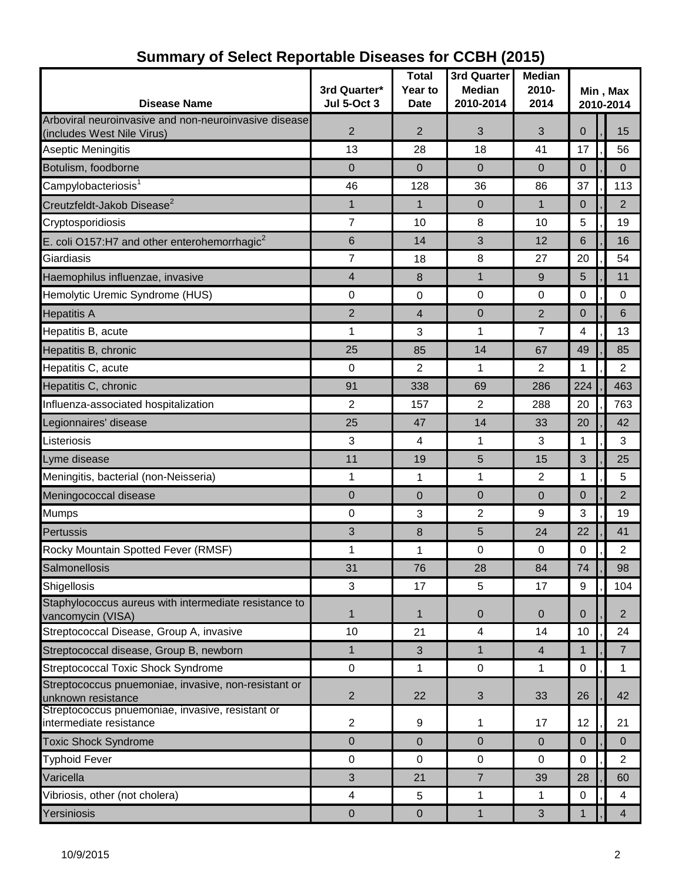| <b>Disease Name</b>                                                         | 3rd Quarter*<br><b>Jul 5-Oct 3</b> | <b>Total</b><br>Year to<br><b>Date</b> | 3rd Quarter<br><b>Median</b><br>2010-2014 | <b>Median</b><br>2010-<br>2014 | Min, Max<br>2010-2014 |  |                |  |
|-----------------------------------------------------------------------------|------------------------------------|----------------------------------------|-------------------------------------------|--------------------------------|-----------------------|--|----------------|--|
| Arboviral neuroinvasive and non-neuroinvasive disease                       |                                    |                                        |                                           |                                |                       |  |                |  |
| (includes West Nile Virus)                                                  | 2                                  | $\overline{2}$                         | 3                                         | 3                              | $\mathbf 0$           |  | 15             |  |
| Aseptic Meningitis                                                          | 13                                 | 28                                     | 18                                        | 41                             | 17                    |  | 56             |  |
| Botulism, foodborne                                                         | $\mathbf{0}$                       | $\mathbf 0$                            | $\mathbf 0$                               | $\mathbf 0$                    | $\overline{0}$        |  | $\mathbf 0$    |  |
| Campylobacteriosis <sup>1</sup>                                             | 46                                 | 128                                    | 36                                        | 86                             | 37                    |  | 113            |  |
| Creutzfeldt-Jakob Disease <sup>2</sup>                                      | $\mathbf{1}$                       | $\mathbf{1}$                           | $\mathbf 0$                               | $\mathbf{1}$                   | $\overline{0}$        |  | $\overline{2}$ |  |
| Cryptosporidiosis                                                           | $\overline{7}$                     | 10                                     | 8                                         | 10                             | 5                     |  | 19             |  |
| E. coli O157:H7 and other enterohemorrhagic $2$                             | 6                                  | 14                                     | 3                                         | 12                             | 6                     |  | 16             |  |
| Giardiasis                                                                  | $\overline{7}$                     | 18                                     | 8                                         | 27                             | 20                    |  | 54             |  |
| Haemophilus influenzae, invasive                                            | $\overline{4}$                     | 8                                      | $\mathbf{1}$                              | 9                              | 5                     |  | 11             |  |
| Hemolytic Uremic Syndrome (HUS)                                             | $\pmb{0}$                          | $\mathbf 0$                            | $\mathbf 0$                               | $\mathbf 0$                    | $\mathbf 0$           |  | 0              |  |
| <b>Hepatitis A</b>                                                          | $\overline{2}$                     | 4                                      | $\overline{0}$                            | $\overline{2}$                 | $\overline{0}$        |  | 6              |  |
| Hepatitis B, acute                                                          | 1                                  | 3                                      | 1                                         | 7                              | 4                     |  | 13             |  |
| Hepatitis B, chronic                                                        | 25                                 | 85                                     | 14                                        | 67                             | 49                    |  | 85             |  |
| Hepatitis C, acute                                                          | 0                                  | $\overline{c}$                         | 1                                         | 2                              | 1                     |  | $\overline{2}$ |  |
| Hepatitis C, chronic                                                        | 91                                 | 338                                    | 69                                        | 286                            | 224                   |  | 463            |  |
| Influenza-associated hospitalization                                        | 2                                  | 157                                    | $\overline{2}$                            | 288                            | 20                    |  | 763            |  |
| Legionnaires' disease                                                       | 25                                 | 47                                     | 14                                        | 33                             | 20                    |  | 42             |  |
| Listeriosis                                                                 | 3                                  | $\overline{4}$                         | 1                                         | 3                              | 1                     |  | 3              |  |
| Lyme disease                                                                | 11                                 | 19                                     | 5                                         | 15                             | 3                     |  | 25             |  |
| Meningitis, bacterial (non-Neisseria)                                       | 1                                  | $\mathbf{1}$                           | $\mathbf{1}$                              | 2                              | 1                     |  | 5              |  |
| Meningococcal disease                                                       | 0                                  | $\mathbf 0$                            | $\mathbf 0$                               | 0                              | $\overline{0}$        |  | $\overline{2}$ |  |
| <b>Mumps</b>                                                                | $\mathbf 0$                        | 3                                      | $\overline{2}$                            | 9                              | 3                     |  | 19             |  |
| Pertussis                                                                   | 3                                  | $\boldsymbol{8}$                       | 5                                         | 24                             | 22                    |  | 41             |  |
| Rocky Mountain Spotted Fever (RMSF)                                         | 1                                  | 1                                      | 0                                         | 0                              | 0                     |  | $\overline{2}$ |  |
| Salmonellosis                                                               | 31                                 | 76                                     | 28                                        | 84                             | 74                    |  | 98             |  |
| Shigellosis                                                                 | 3                                  | 17                                     | 5                                         | 17                             | 9                     |  | 104            |  |
| Staphylococcus aureus with intermediate resistance to<br>vancomycin (VISA)  | 1                                  | $\mathbf{1}$                           | $\mathbf 0$                               | $\overline{0}$                 | $\overline{0}$        |  | $\overline{2}$ |  |
| Streptococcal Disease, Group A, invasive                                    | 10                                 | 21                                     | $\overline{4}$                            | 14                             | 10                    |  | 24             |  |
| Streptococcal disease, Group B, newborn                                     | $\mathbf{1}$                       | 3                                      | $\mathbf{1}$                              | $\overline{4}$                 | $\mathbf{1}$          |  | $\overline{7}$ |  |
| Streptococcal Toxic Shock Syndrome                                          | $\mathbf 0$                        | $\mathbf{1}$                           | $\mathbf 0$                               | 1                              | $\mathbf 0$           |  | $\mathbf{1}$   |  |
| Streptococcus pnuemoniae, invasive, non-resistant or<br>unknown resistance  | $\overline{2}$                     | 22                                     | 3                                         | 33                             | 26                    |  | 42             |  |
| Streptococcus pnuemoniae, invasive, resistant or<br>intermediate resistance | $\overline{2}$                     | 9                                      | 1                                         | 17                             | 12                    |  | 21             |  |
| <b>Toxic Shock Syndrome</b>                                                 | $\pmb{0}$                          | $\mathbf 0$                            | $\mathbf 0$                               | $\mathbf 0$                    | $\overline{0}$        |  | $\mathbf{0}$   |  |
| <b>Typhoid Fever</b>                                                        | $\mathbf 0$                        | $\mathbf 0$                            | $\pmb{0}$                                 | $\mathbf 0$                    | $\mathbf 0$           |  | $\overline{2}$ |  |
| Varicella                                                                   | 3                                  | 21                                     | $\overline{7}$                            | 39                             | 28                    |  | 60             |  |
| Vibriosis, other (not cholera)                                              | 4                                  | 5                                      | 1                                         | 1                              | 0                     |  | 4              |  |
| Yersiniosis                                                                 | $\boldsymbol{0}$                   | $\mathbf 0$                            | $\mathbf{1}$                              | 3                              | 1                     |  | $\overline{4}$ |  |

## **Summary of Select Reportable Diseases for CCBH (2015)**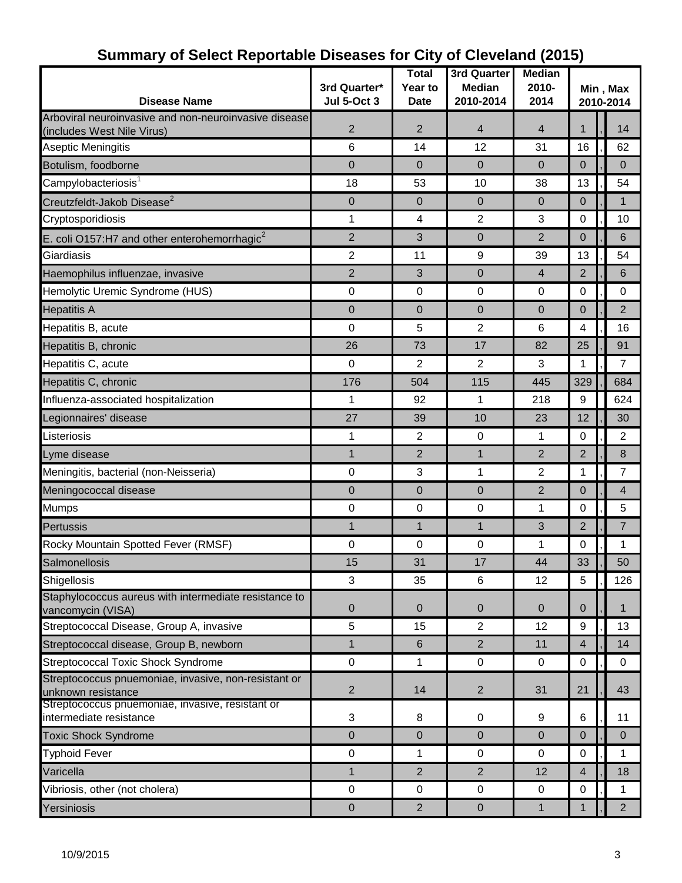| <b>Disease Name</b>                                                                 | 3rd Quarter*<br><b>Jul 5-Oct 3</b> | <b>Total</b><br>Year to<br><b>Date</b> | 3rd Quarter<br><b>Median</b><br>2010-2014 | <b>Median</b><br>2010-<br>2014 | Min, Max<br>2010-2014 |  |                |
|-------------------------------------------------------------------------------------|------------------------------------|----------------------------------------|-------------------------------------------|--------------------------------|-----------------------|--|----------------|
| Arboviral neuroinvasive and non-neuroinvasive disease<br>(includes West Nile Virus) | $\overline{2}$                     | $\overline{2}$                         | $\overline{4}$                            | 4                              | $\mathbf{1}$          |  | 14             |
| Aseptic Meningitis                                                                  | 6                                  | 14                                     | 12                                        | 31                             | 16                    |  | 62             |
| Botulism, foodborne                                                                 | $\mathbf{0}$                       | $\mathbf 0$                            | $\mathbf 0$                               | $\mathbf 0$                    | $\mathbf 0$           |  | $\mathbf 0$    |
| Campylobacteriosis <sup>1</sup>                                                     | 18                                 | 53                                     | 10                                        | 38                             | 13                    |  | 54             |
| Creutzfeldt-Jakob Disease <sup>2</sup>                                              | 0                                  | $\mathbf 0$                            | $\mathbf 0$                               | $\mathbf 0$                    | $\mathbf 0$           |  | $\mathbf{1}$   |
| Cryptosporidiosis                                                                   | 1                                  | 4                                      | $\overline{2}$                            | 3                              | $\mathbf 0$           |  | 10             |
| E. coli O157:H7 and other enterohemorrhagic <sup>2</sup>                            | $\overline{2}$                     | 3                                      | $\mathbf 0$                               | 2                              | $\overline{0}$        |  | 6              |
| Giardiasis                                                                          | $\overline{2}$                     | 11                                     | $\boldsymbol{9}$                          | 39                             | 13                    |  | 54             |
| Haemophilus influenzae, invasive                                                    | $\overline{2}$                     | 3                                      | $\mathbf 0$                               | 4                              | $\overline{2}$        |  | 6              |
| Hemolytic Uremic Syndrome (HUS)                                                     | 0                                  | $\boldsymbol{0}$                       | $\mathbf 0$                               | $\mathbf 0$                    | 0                     |  | 0              |
| <b>Hepatitis A</b>                                                                  | $\mathbf{0}$                       | $\mathbf 0$                            | $\mathbf 0$                               | $\mathbf 0$                    | $\mathbf 0$           |  | $\overline{2}$ |
| Hepatitis B, acute                                                                  | $\mathbf 0$                        | 5                                      | $\overline{2}$                            | 6                              | 4                     |  | 16             |
| Hepatitis B, chronic                                                                | 26                                 | 73                                     | 17                                        | 82                             | 25                    |  | 91             |
| Hepatitis C, acute                                                                  | $\mathbf 0$                        | $\overline{2}$                         | $\overline{2}$                            | 3                              | 1                     |  | $\overline{7}$ |
| Hepatitis C, chronic                                                                | 176                                | 504                                    | 115                                       | 445                            | 329                   |  | 684            |
| Influenza-associated hospitalization                                                | 1                                  | 92                                     | $\mathbf{1}$                              | 218                            | 9                     |  | 624            |
| Legionnaires' disease                                                               | 27                                 | 39                                     | 10                                        | 23                             | 12                    |  | 30             |
| Listeriosis                                                                         | 1                                  | $\overline{2}$                         | $\mathbf 0$                               | 1                              | $\mathbf 0$           |  | $\overline{2}$ |
| Lyme disease                                                                        | $\mathbf{1}$                       | $\overline{2}$                         | $\mathbf{1}$                              | 2                              | $\overline{2}$        |  | 8              |
| Meningitis, bacterial (non-Neisseria)                                               | $\pmb{0}$                          | 3                                      | 1                                         | 2                              | 1                     |  | $\overline{7}$ |
| Meningococcal disease                                                               | $\pmb{0}$                          | $\mathbf 0$                            | $\mathbf 0$                               | 2                              | $\mathbf 0$           |  | $\overline{4}$ |
| <b>Mumps</b>                                                                        | $\mathbf 0$                        | $\mathbf 0$                            | $\mathbf 0$                               | 1                              | $\mathbf 0$           |  | 5              |
| Pertussis                                                                           | 1                                  | $\mathbf{1}$                           | $\mathbf{1}$                              | 3                              | $\overline{2}$        |  | $\overline{7}$ |
| Rocky Mountain Spotted Fever (RMSF)                                                 | $\pmb{0}$                          | $\pmb{0}$                              | $\pmb{0}$                                 | 1                              | $\mathbf 0$           |  | 1              |
| Salmonellosis                                                                       | 15                                 | 31                                     | 17                                        | 44                             | 33                    |  | 50             |
| Shigellosis                                                                         | 3                                  | 35                                     | 6                                         | 12                             | 5                     |  | 126            |
| Staphylococcus aureus with intermediate resistance to<br>vancomycin (VISA)          | $\pmb{0}$                          | $\mathbf 0$                            | $\mathbf 0$                               | $\overline{0}$                 | $\mathbf 0$           |  | $\mathbf{1}$   |
| Streptococcal Disease, Group A, invasive                                            | 5                                  | 15                                     | $\overline{2}$                            | 12                             | 9                     |  | 13             |
| Streptococcal disease, Group B, newborn                                             | $\mathbf{1}$                       | $6\phantom{1}6$                        | $\overline{2}$                            | 11                             | $\overline{4}$        |  | 14             |
| <b>Streptococcal Toxic Shock Syndrome</b>                                           | $\mathbf 0$                        | 1                                      | $\mathbf 0$                               | $\mathbf 0$                    | $\mathbf 0$           |  | 0              |
| Streptococcus pnuemoniae, invasive, non-resistant or<br>unknown resistance          | $\overline{2}$                     | 14                                     | $\overline{2}$                            | 31                             | 21                    |  | 43             |
| Streptococcus pnuemoniae, invasive, resistant or<br>intermediate resistance         | 3                                  | 8                                      | $\mathbf 0$                               | 9                              | 6                     |  | 11             |
| <b>Toxic Shock Syndrome</b>                                                         | 0                                  | 0                                      | $\mathbf 0$                               | $\mathbf 0$                    | $\mathbf 0$           |  | $\mathbf{0}$   |
| <b>Typhoid Fever</b>                                                                | $\mathsf 0$                        | 1                                      | $\mathbf 0$                               | 0                              | $\mathbf 0$           |  | 1              |
| Varicella                                                                           | 1                                  | $\overline{2}$                         | 2                                         | 12                             | $\overline{4}$        |  | 18             |
| Vibriosis, other (not cholera)                                                      | $\pmb{0}$                          | $\boldsymbol{0}$                       | $\mathbf 0$                               | 0                              | 0                     |  | $\mathbf 1$    |
| Yersiniosis                                                                         | $\boldsymbol{0}$                   | $\overline{2}$                         | $\pmb{0}$                                 | $\mathbf{1}$                   | 1                     |  | $2^{\circ}$    |

### **Summary of Select Reportable Diseases for City of Cleveland (2015)**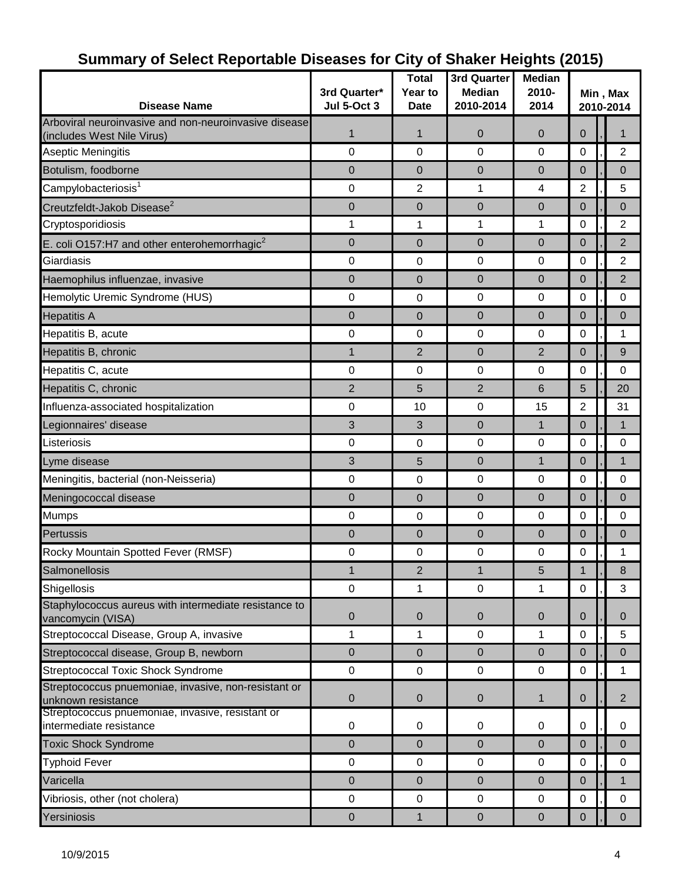| <b>Disease Name</b>                                                         | 3rd Quarter*<br><b>Jul 5-Oct 3</b> | <b>Total</b><br>Year to<br><b>Date</b> | 3rd Quarter<br><b>Median</b><br>2010-2014 | <b>Median</b><br>$2010 -$<br>2014 | Min, Max<br>2010-2014 |  |                |
|-----------------------------------------------------------------------------|------------------------------------|----------------------------------------|-------------------------------------------|-----------------------------------|-----------------------|--|----------------|
| Arboviral neuroinvasive and non-neuroinvasive disease                       | $\mathbf{1}$                       | 1                                      | $\pmb{0}$                                 | 0                                 | $\overline{0}$        |  | 1              |
| (includes West Nile Virus)<br>Aseptic Meningitis                            | $\mathbf 0$                        | 0                                      | $\mathbf 0$                               | 0                                 | $\mathbf 0$           |  | $\overline{2}$ |
| Botulism, foodborne                                                         | 0                                  | $\boldsymbol{0}$                       | 0                                         | 0                                 | $\mathbf 0$           |  | $\mathbf 0$    |
| Campylobacteriosis                                                          | $\pmb{0}$                          | $\overline{2}$                         | 1                                         | 4                                 | $\overline{2}$        |  | 5              |
| Creutzfeldt-Jakob Disease <sup>2</sup>                                      | 0                                  | $\mathbf 0$                            | $\mathbf 0$                               | $\overline{0}$                    | $\mathbf 0$           |  | $\overline{0}$ |
| Cryptosporidiosis                                                           | 1                                  | 1                                      | 1                                         | 1                                 | 0                     |  | $\overline{2}$ |
| E. coli O157:H7 and other enterohemorrhagic $2$                             | 0                                  | $\boldsymbol{0}$                       | $\mathbf 0$                               | 0                                 | $\overline{0}$        |  | $\overline{2}$ |
| Giardiasis                                                                  | 0                                  | $\mathbf 0$                            | 0                                         | $\mathbf 0$                       | $\mathbf 0$           |  | $\overline{2}$ |
| Haemophilus influenzae, invasive                                            | 0                                  | $\mathbf 0$                            | $\mathbf 0$                               | $\overline{0}$                    | $\overline{0}$        |  | $\overline{2}$ |
| Hemolytic Uremic Syndrome (HUS)                                             | 0                                  | 0                                      | $\pmb{0}$                                 | 0                                 | 0                     |  | $\mathbf 0$    |
| <b>Hepatitis A</b>                                                          | 0                                  | $\mathbf 0$                            | $\mathbf 0$                               | $\overline{0}$                    | $\overline{0}$        |  | $\Omega$       |
| Hepatitis B, acute                                                          | 0                                  | 0                                      | $\pmb{0}$                                 | 0                                 | 0                     |  | 1              |
| Hepatitis B, chronic                                                        | $\mathbf{1}$                       | $\overline{2}$                         | $\mathbf 0$                               | $\overline{2}$                    | $\overline{0}$        |  | 9              |
| Hepatitis C, acute                                                          | 0                                  | 0                                      | 0                                         | $\mathbf 0$                       | 0                     |  | $\mathbf 0$    |
| Hepatitis C, chronic                                                        | $\overline{2}$                     | 5                                      | $\overline{2}$                            | 6                                 | 5                     |  | 20             |
| Influenza-associated hospitalization                                        | 0                                  | 10                                     | $\mathbf 0$                               | 15                                | $\overline{2}$        |  | 31             |
| Legionnaires' disease                                                       | 3                                  | 3                                      | $\pmb{0}$                                 | $\mathbf 1$                       | $\overline{0}$        |  | 1              |
| Listeriosis                                                                 | 0                                  | $\boldsymbol{0}$                       | 0                                         | $\mathbf 0$                       | $\mathbf 0$           |  | $\mathbf 0$    |
| Lyme disease                                                                | 3                                  | 5                                      | $\mathbf 0$                               | $\mathbf{1}$                      | $\mathbf 0$           |  | 1              |
| Meningitis, bacterial (non-Neisseria)                                       | 0                                  | 0                                      | $\mathbf 0$                               | 0                                 | $\mathbf 0$           |  | $\mathbf 0$    |
| Meningococcal disease                                                       | 0                                  | $\boldsymbol{0}$                       | 0                                         | 0                                 | $\mathbf 0$           |  | $\mathbf 0$    |
| <b>Mumps</b>                                                                | $\mathbf 0$                        | $\mathbf 0$                            | $\mathbf 0$                               | 0                                 | $\mathbf 0$           |  | $\Omega$       |
| Pertussis                                                                   | $\mathbf 0$                        | $\mathbf 0$                            | $\mathbf 0$                               | $\overline{0}$                    | $\mathbf 0$           |  | $\overline{0}$ |
| Rocky Mountain Spotted Fever (RMSF)                                         | 0                                  | 0                                      | $\pmb{0}$                                 | $\pmb{0}$                         | 0                     |  | 1              |
| Salmonellosis                                                               | 1                                  | 2                                      | 1                                         | 5                                 |                       |  | 8              |
| Shigellosis                                                                 | $\pmb{0}$                          | 1                                      | $\mathbf 0$                               | 1                                 | $\mathbf 0$           |  | 3              |
| Staphylococcus aureus with intermediate resistance to<br>vancomycin (VISA)  | $\boldsymbol{0}$                   | $\mathbf 0$                            | $\mathbf{0}$                              | $\pmb{0}$                         | $\mathbf 0$           |  | $\Omega$       |
| Streptococcal Disease, Group A, invasive                                    | 1                                  | 1                                      | $\mathbf 0$                               | 1                                 | $\mathbf 0$           |  | 5              |
| Streptococcal disease, Group B, newborn                                     | 0                                  | $\mathbf 0$                            | $\mathbf 0$                               | $\pmb{0}$                         | $\overline{0}$        |  | $\mathbf{0}$   |
| <b>Streptococcal Toxic Shock Syndrome</b>                                   | $\mathbf 0$                        | $\pmb{0}$                              | $\mathbf 0$                               | 0                                 | $\mathbf 0$           |  | $\mathbf{1}$   |
| Streptococcus pnuemoniae, invasive, non-resistant or<br>unknown resistance  | 0                                  | $\pmb{0}$                              | $\pmb{0}$                                 | 1                                 | $\mathbf 0$           |  | 2              |
| Streptococcus pnuemoniae, invasive, resistant or<br>intermediate resistance | $\boldsymbol{0}$                   | 0                                      | 0                                         | $\mathbf 0$                       | $\mathbf 0$           |  | $\mathbf 0$    |
| <b>Toxic Shock Syndrome</b>                                                 | 0                                  | $\pmb{0}$                              | $\mathbf 0$                               | 0                                 | $\mathbf 0$           |  | $\overline{0}$ |
| <b>Typhoid Fever</b>                                                        | 0                                  | $\mathbf 0$                            | $\mathsf 0$                               | $\boldsymbol{0}$                  | $\mathbf 0$           |  | $\mathbf 0$    |
| Varicella                                                                   | $\mathbf{0}$                       | $\mathbf 0$                            | $\pmb{0}$                                 | $\mathbf{0}$                      | $\mathbf 0$           |  | 1              |
| Vibriosis, other (not cholera)                                              | 0                                  | $\mathbf 0$                            | $\boldsymbol{0}$                          | 0                                 | $\mathbf 0$           |  | 0              |
| Yersiniosis                                                                 | $\pmb{0}$                          | $\mathbf{1}$                           | $\mathbf{0}$                              | $\mathbf 0$                       | $\pmb{0}$             |  | $\Omega$       |

# **Summary of Select Reportable Diseases for City of Shaker Heights (2015)**